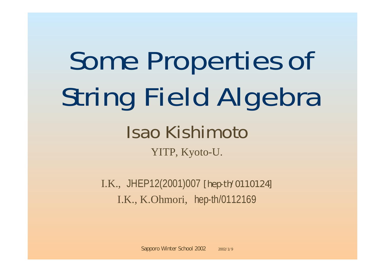## Some Properties of String Field Algebra

## Isao Kishimoto YITP, Kyoto-U.

I.K., JHEP12(2001)007 [hepth/0110124] I.K., K.Ohmori, hep-th/0112169

Sapporo Winter School 2002 2002/1/9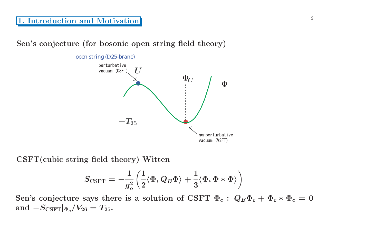<sup>2</sup> **1. Introduction and Motivation**

**Sen's conjecture (for bosonic open string field theory)**

open string (D25-brane)



**CSFT(cubic string field theory) Witten**

$$
S_{\rm CSFT}=-\frac{1}{g_o^2}\left(\frac{1}{2}\langle \Phi, Q_B\Phi\rangle+\frac{1}{3}\langle \Phi, \Phi*\Phi\rangle\right)
$$

Sen's conjecture says there is a solution of CSFT  $\Phi_c$ :  $Q_B \Phi_c + \Phi_c * \Phi_c = 0$ **and**  $-S_{\text{CSFT}}|_{\Phi_c}/V_{26} = T_{25}.$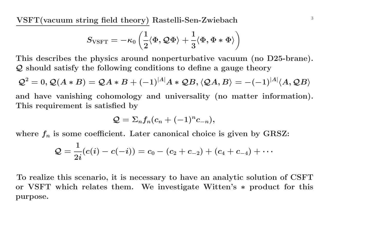**VSFT(vacuum string field theory) Rastelli-Sen-Zwiebach** <sup>3</sup>

$$
S_{\text{VSFT}}=-\kappa_0\left(\frac{1}{2}\langle \Phi, \mathcal{Q}\Phi\rangle+\frac{1}{3}\langle \Phi, \Phi*\Phi\rangle\right)
$$

**This describes the <sup>p</sup>hysics around nonperturbative vacuum (no D25-brane).** *Q* **should satisfy the following conditions to define <sup>a</sup> gauge theory**

$$
\mathcal{Q}^2 = 0, \mathcal{Q}(A * B) = \mathcal{Q}A * B + (-1)^{|A|}A * \mathcal{Q}B, \langle \mathcal{Q}A, B \rangle = -(-1)^{|A|} \langle A, \mathcal{Q}B \rangle
$$

**and have vanishing cohomology and universality (no matter information). This requirement is satisfied by**

$$
Q=\Sigma_nf_n(c_n+(-1)^nc_{-n}),
$$

where  $f_n$  is some coefficient. Later canonical choice is given by GRSZ:

$$
\mathcal{Q}=\frac{1}{2i}(c(i)-c(-i))=c_0-(c_2+c_{-2})+(c_4+c_{-4})+\cdots
$$

To realize this scenario, it is necessary to have an analytic solution of CSFT **or VSFT which relates them. We investigate Witten's** *<sup>∗</sup>* **product for this purpose.**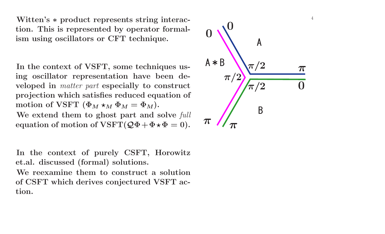**Witten's** *∗* **product represents string interaction. This is represented by operator formalism using oscillators or CFT technique.**

**In the context of VSFT, some techniques using oscillator representation have been developed in** *matter part* **especially to construct projection which satisfies reduced equation of**  $\text{motion of VSET } (\Phi_M \star_M \Phi_M = \Phi_M).$ **We extend them to ghost part and solve** *full*  $\mathbf{eq}$   $\mathbf{eq}$   $\mathbf{eq}$   $\mathbf{eq}$   $\mathbf{eq}$   $\mathbf{eq}$   $\mathbf{eq}$   $\mathbf{eq}$   $\mathbf{eq}$   $\mathbf{eq}$   $\mathbf{eq}$   $\mathbf{eq}$   $\mathbf{eq}$   $\mathbf{eq}$   $\mathbf{eq}$   $\mathbf{eq}$   $\mathbf{eq}$   $\mathbf{eq}$   $\mathbf{eq}$   $\mathbf{eq}$   $\mathbf{eq}$   $\mathbf{eq}$   $\mathbf{eq}$   $\mathbf{eq}$   $\mathbf{$ 

**In the context of purely CSFT, Horowitz et.al. discussed (formal) solutions. We reexamine them to construct <sup>a</sup> solution of CSFT which derives conjectured VSFT action.**

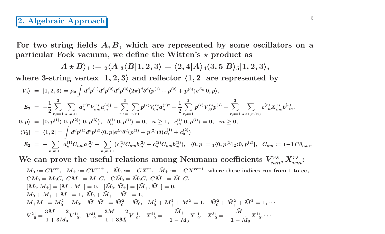## <sup>5</sup> **2. Algebraic Approach**

For two string fields  $A, B$ , which are represented by some oscillators on a **particular Fock vacuum, we define the Witten's** *-* **product as**

$$
|A \star B\rangle_1 := {}_2\langle A|_3\langle B|1,2,3\rangle = \langle 2,4|A\rangle_4\langle 3,5|B\rangle_5|1,2,3\rangle,
$$

where 3-string vertex  $|1,2,3\rangle$  and reflector  $\langle 1,2|$  are represented by

$$
\begin{array}{rcl}\n|V_{3}\rangle &=& |1,2,3\rangle = \tilde{\mu}_{3} \int d^{d}p^{(1)}d^{d}p^{(2)}d^{d}p^{(3)}(2\pi)^{d}\delta^{d}(p^{(1)}+p^{(2)}+p^{(3)})e^{E_{3}}|0,p\rangle, \\
E_{3} &=& -\frac{1}{2} \sum_{r,s=1}^{3} \sum_{n,m \geq 1} a_{n}^{(r)\dagger} V_{nm}^{rs} a_{m}^{(s)\dagger} - \sum_{r,s=1}^{3} \sum_{n \geq 1} p^{(r)} V_{0n}^{rs} a_{n}^{(r)\dagger} - \frac{1}{2} \sum_{r,s=1}^{3} p^{(r)} V_{00}^{rs} p^{(s)} - \sum_{r,s=1}^{3} \sum_{n \geq 1, m \geq 0} c_{-n}^{(r)} X_{nm}^{rs} b_{-m}^{(s)}, \\
|0,p\rangle &=& |0,p^{(1)}\rangle |0,p^{(2)}\rangle |0,p^{(3)}\rangle, \quad b_{n}^{(i)} |0,p^{(i)}\rangle = 0, \quad n \geq 1, \quad c_{m}^{(i)} |0,p^{(i)}\rangle = 0, \quad m \geq 0, \\
\langle V_{2}| &=& \langle 1,2| = \int d^{d}p^{(1)}d^{d}p^{(2)}\langle 0,p|e^{E_{2}}\delta^{d}(p^{(1)}+p^{(2)})\delta(c_{0}^{(1)}+c_{0}^{(2)}) \\
E_{2} &=& -\sum_{n,m \geq 1} a_{n}^{(1)}C_{nm}a_{m}^{(2)} - \sum_{n,m \geq 1} (c_{n}^{(1)}C_{nm}b_{m}^{(2)} + c_{n}^{(2)}C_{nm}b_{m}^{(1)}), \quad \langle 0,p| = {}_{1}\langle 0,p^{(1)}|_{2}\langle 0,p^{(2)}|, \quad C_{nm} := (-1)^{n}\delta_{n,m}.\n\end{array}
$$

We can prove the useful relations among Neumann coefficients 
$$
V_{nm}^{rs}
$$
,  $X_{nm}^{rs}$ :  
\n
$$
M_0 := CV^{rr}
$$
,  $M_{\pm} := CV^{rr\pm 1}$ ,  $\tilde{M}_0 := -CX^{rr}$ ,  $\tilde{M}_{\pm} := -CX^{rr\pm 1}$  where these indices run from 1 to  $\infty$ ,  
\n $CM_0 = M_0C$ ,  $CM_+ = M_-C$ ,  $C\tilde{M}_0 = \tilde{M}_0C$ ,  $C\tilde{M}_+ = \tilde{M}_-C$ ,  
\n $[M_0, M_{\pm}] = [M_+, M_-] = 0$ ,  $[\tilde{M}_0, \tilde{M}_{\pm}] = [\tilde{M}_+, \tilde{M}_-] = 0$ ,  
\n $M_0 + M_+ + M_- = 1$ ,  $\tilde{M}_0 + \tilde{M}_+ + \tilde{M}_- = 1$ ,  
\n $M_+M_- = M_0^2 - M_0$ ,  $\tilde{M}_+ \tilde{M}_- = \tilde{M}_0^2 - \tilde{M}_0$ ,  $M_0^2 + M_+^2 + M_-^2 = 1$ ,  $\tilde{M}_0^2 + \tilde{M}_+^2 + \tilde{M}_-^2 = 1$ ,  
\n $V_{0}^{21} = \frac{3M_+ - 2}{1 + 3M_0} V_{0}^{11}$ ,  $V_{0}^{31} = \frac{3M_- - 2}{1 + 3M_0} V_{0}^{11}$ ,  $X_{0}^{21} = -\frac{\tilde{M}_+}{1 - \tilde{M}_0} X_{0}^{11}$ ,  $X_{0}^{31} = -\frac{\tilde{M}_-}{1 - \tilde{M}_0} X_{0}^{11}$ ,...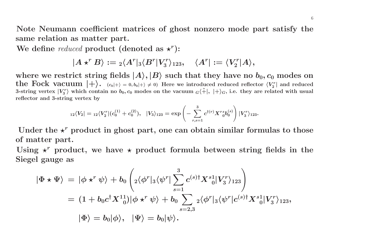Note Neumann coefficient matrices of ghost nonzero mode part satisfy the **same relation as matter part.**

 $\mathbf{W}\mathbf{e}$  define  $reduced$   $\mathbf{product}$   $(\mathbf{denoted}\ \mathbf{as}\ \mathbf{x}^r)$ :

$$
|A \star^r B\rangle := {}_2\langle A^r|{}_3\langle B^r|V_3^r\rangle_{123}, \quad \langle A^r| := \langle V_2^r|A\rangle,
$$

where we restrict string fields  $|A\rangle,|B\rangle$  such that they have no  $b_0,c_0$  modes on  $\text{the \textcolor{red}{Fock} vacuum \textcolor{red}{+}} \text{.} \quad \text{ } (c_0|+\textcolor{red}{\rangle} = 0, b_0|+\textcolor{red}{\rangle} \neq 0) \text{ \textit{Here we introduced reduced reflector } } \langle V_2^r| \text{ \textit{and reduced}}$ 3-string vertex  $|V^r_3\rangle$  which contain no  $b_0, c_0$  modes on the vacuum  ${}_G\langle\tilde+$  $|+\rangle_G$ , i.e. they are related with usual **reflector and 3-string vertex by**

$$
_{12}\langle V_{2}|={}_{12}\langle V_{2}^{r}|(c_{0}^{(1)}+c_{0}^{(2)}),\text{ \ \ }|V_{3}\rangle_{123}=\exp\left(-\sum_{r,s=1}^{3}c^{\dagger(r)}X^{r}s_{0}b_{0}^{(s)}\right)|V_{3}^{r}\rangle_{123}.
$$

Under the  $\star^r$  product in ghost part, one can obtain similar formulas to those **of matter part.**

Using  $\star^r$  product, we have  $\star$  product formula between string fields in the **Siegel gauge as**

$$
\begin{aligned} |\Phi\star\Psi\rangle&\,=\,|\phi\star^r\psi\rangle+b_0\left({}_2\langle\phi^r|_3\langle\psi^r|\sum_{s=1}^3c^{(s)\dagger}X^s{}_0^1|V_3^r\rangle_{123}\right)\\&=\,(1+b_0c^\dagger X^{11}_{\phantom{1}0})|\phi\star^r\psi\rangle+b_0\sum_{s=2,3}{}_2\langle\phi^r|_3\langle\psi^r|c^{(s)\dagger}X^s{}_0^1|V_3^r\rangle_{123},\\|\Phi\rangle&=b_0|\phi\rangle,\;\;\;|\Psi\rangle=b_0|\psi\rangle.\end{aligned}
$$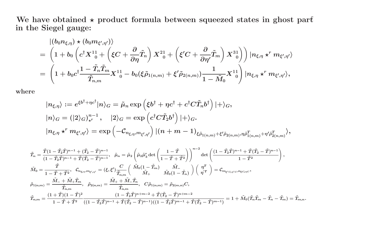We have obtained  $\star$  product formula between squeezed states in ghost par $\mathrm{f}$ **in the Siegel gauge:**

$$
\begin{aligned} &\ket{(b_0n_{\xi,\eta})\star(b_0m_{\xi',\eta'})}\\ &=\left(1+b_0\left(c^\dagger X^1_{\phantom{1}0}+\left(\xi C+\frac{\partial}{\partial\eta}\tilde{T}_n\right)X^2_{\phantom{1}0}+\left(\xi' C+\frac{\partial}{\partial\eta'}\tilde{T}_m\right)X^3_{\phantom{1}0}\right)\right)|n_{\xi,\eta}\star^r m_{\xi',\eta'}\rangle\\ &=\left(1+b_0c^\dagger\frac{1-\tilde{T}_n\tilde{T}_m}{\tilde{T}_{n,m}}X^1_{\phantom{1}0}-b_0(\xi\tilde{\rho}_{1(n,m)}+\xi'\tilde{\rho}_{2(n,m)})\frac{1}{1-\tilde{M}_0}X^1_{\phantom{1}0}\right)|n_{\xi,\eta}\star^r m_{\xi',\eta'}\rangle, \end{aligned}
$$

**where**

$$
\begin{aligned} &|n_{\xi,\eta}\rangle:=e^{\xi b^{\dagger}+\eta c^{\dagger}}|n\rangle_G=\tilde{\mu}_n\exp\left(\xi b^{\dagger}+\eta c^{\dagger}+c^{\dagger}C\tilde{T}_n b^{\dagger}\right)|+\rangle_G,\\ &|n\rangle_G=(|2\rangle_G)_{\star^r}^{n-1},\quad |2\rangle_G=\exp\left(c^{\dagger}C\tilde{T}_2b^{\dagger}\right)|+\rangle_G.\\ &|n_{\xi,\eta}\star^r m_{\xi',\eta'}\rangle=\exp\left(-\mathcal{C}_{n_{\xi,\eta},m_{\xi',\eta'}}\right)|(n+m-1)_{\xi\tilde{\rho}_{1(n,m)}+\xi'\tilde{\rho}_{2(n,m)},\eta\tilde{\rho}_{1(n,m)}^T+\eta'\tilde{\rho}_{2(n,m)}^T}\rangle, \end{aligned}
$$

$$
\begin{split} &\tilde{T}_n=\frac{\tilde{T}(1-\tilde{T}_2\tilde{T})^{n-1}+(\tilde{T}_2-\tilde{T})^{n-1}}{(1-\tilde{T}_2\tilde{T})^{n-1}+\tilde{T}(\tilde{T}_2-\tilde{T})^{n-1}},~~\tilde{\mu}_n=\tilde{\mu}_2\left(\tilde{\mu}_2\tilde{\mu}^r_3\det\left(\frac{1-\tilde{T}}{1-\tilde{T}+\tilde{T}^2}\right)\right)^{n-2}\det\left(\frac{(1-\tilde{T}_2\tilde{T})^{n-1}+\tilde{T}(\tilde{T}_2-\tilde{T})^{n-1}}{1-\tilde{T}^2}\right),\\ &\tilde{M}_0=\frac{\tilde{T}}{1-\tilde{T}+\tilde{T}^2},~~\mathcal{C}_{n_{\xi,\eta},m_{\xi',\eta'}}=(\xi,\xi')\frac{C}{\tilde{T}_{n,m}}\left(\begin{array}{cc} \tilde{M}_0(1-\tilde{T}_m) & \tilde{M}_- \\ \tilde{M}_+ & \tilde{M}_0(1-\tilde{T}_n) \end{array}\right)\left(\begin{array}{c} \eta^T \\ \eta^{'T} \end{array}\right)=\mathcal{C}_{m_{\xi',C,\eta',C},n_{\xi C,\eta,C}},\\ &\tilde{p}_{1(n,m)}=\frac{\tilde{M}_-+\tilde{M}_+\tilde{T}_m}{\tilde{T}_{n,m}},~~\tilde{p}_{2(n,m)}=\frac{\tilde{M}_++\tilde{M}_-\tilde{T}_n}{\tilde{T}_{n,m}},~~ C\tilde{\rho}_{1(n,m)}=\tilde{p}_{2(m,n)}C,\\ &\tilde{T}_{n,m}=\frac{(1+\tilde{T})(1-\tilde{T})^2}{1-\tilde{T}+\tilde{T}^2}\frac{(1-\tilde{T}_2\tilde{T})^{n+1}+\tilde{T}(\tilde{T}_2-\tilde{T})^{n+1}+\tilde{T}(\tilde{T}_2-\tilde{T})^{m-1}+\tilde{T}(\tilde{T}_2-\tilde{T})^{m-1}}{(1-\tilde{T}_2\tilde{T})^{m-1}+\tilde{T}(\tilde{T}_2-\tilde{T})^{m-1}+\tilde{T}(\tilde{T}_2-\tilde{T})^{m-1})}=1+\tilde{M}_0(\tilde{T}_n\tilde{T}_m-\tilde{T}_n-\tilde{T}_m)=\tilde{T}_{m,n}. \end{split}
$$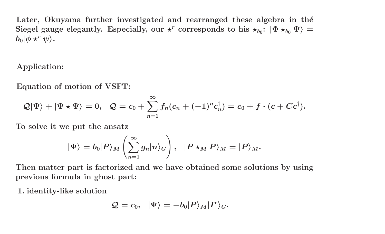**Later, Okuyama further investigated and rearranged these algebra in the**<sup>8</sup> Siegel gauge elegantly. Especially, our  $\star^r$  corresponds to his  $\star_{b_0}\colon\ket{\Phi\star_{b_0}\Psi}=$  $b_0|\phi \star ^r\psi\rangle.$ 

## **Application:**

**Equation of motion of VSFT:**

$$
\mathcal{Q}|\Psi\rangle+|\Psi\star\Psi\rangle=0,\ \ \mathcal{Q}=c_0+\sum_{n=1}^\infty f_n(c_n+(-1)^nc_n^\dagger)=c_0+f\cdot(c+Cc^\dagger).
$$

**To solve it we put the ansatz**

$$
|\Psi\rangle = b_0|P\rangle_M \left(\sum_{n=1}^\infty g_n|n\rangle_G\right),\;\;|P\star_M P\rangle_M = |P\rangle_M.
$$

Then matter part is factorized and we have obtained some solutions by using **previous formula in ghost part:**

**1. identity-like solution**

$$
\mathcal{Q}=c_0,\;\; |\Psi\rangle=-b_0|P\rangle_M|I^r\rangle_G.
$$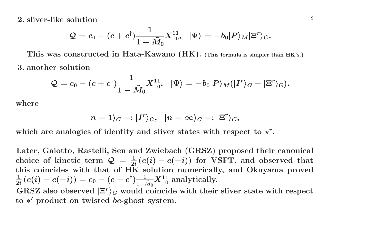<sup>9</sup> **2. sliver-like solution**

$$
\mathcal{Q}=c_0-(c+c^\dagger)\frac{1}{1-\tilde{M}_0}X^{11}_{\phantom{1}0},\;\;|\Psi\rangle=-b_0|P\rangle_M|\Xi^r\rangle_G.
$$

This was constructed in Hata-Kawano (HK). (This formula is simpler than HK's.) **3. another solution**

$$
\mathcal{Q}=c_0-(c+c^\dagger)\frac{1}{1-\tilde{M}_0}X^{11}_{\phantom{1}0},\;\;|\Psi\rangle=-b_0|P\rangle_M(|I^r\rangle_G-|\Xi^r\rangle_G).
$$

**where**

$$
|n=1\rangle_G=:|I^r\rangle_G, \ \ |n=\infty\rangle_G=:|\Xi^r\rangle_G,
$$

which are analogies of identity and sliver states with respect to  $\star^r.$ 

**Later, Gaiotto, Rastelli, Sen and Zwiebach (GRSZ) proposed their canonical** choice of kinetic term  $\mathcal{Q} = \frac{1}{2i} (c(i) - c(-i))$  for VSFT, and observed that **this coincides with that of HK solution numerically, and Okuyama proved**  $\frac{1}{2i}\left(c(i)-c(-i)\right)=c_0-(c+c^\dagger)\frac{1}{1-\tilde{M}_0}X^{11}_{\hspace{1ex}0}$  analytically.  $\mathrm{GRSZ}$  also observed  $|\Xi^r\rangle_G$  would coincide with their sliver state with respect

**to** *<sup>∗</sup>* **product on twisted** *bc***-ghost system.**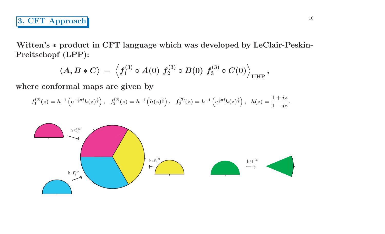**Witten's** *<sup>∗</sup>* **product in CFT language which was developed by LeClair-Peskin-Preitschopf (LPP):**

$$
\langle A, B\ast C \rangle \,=\, \left< f^{(3)}_1\circ A(0)\,\, f^{(3)}_2\circ B(0)\,\, f^{(3)}_3\circ C(0) \right>_{\rm UHP},
$$

**where conformal maps are given by**

$$
f_1^{(3)}(z)=h^{-1}\left(e^{-\frac{2}{3}\pi i}h(z)^{\frac{2}{3}}\right),\;\;f_2^{(3)}(z)=h^{-1}\left(h(z)^{\frac{2}{3}}\right),\;\;f_3^{(3)}(z)=h^{-1}\left(e^{\frac{2}{3}\pi i}h(z)^{\frac{2}{3}}\right),\;\;h(z)=\frac{1+iz}{1-iz}.
$$

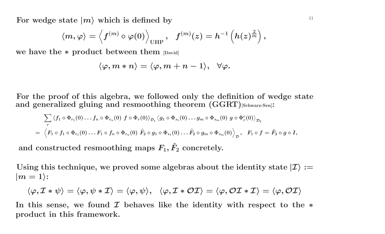$\mathbf{F}\mathbf{or}$   $\mathbf{w}$   $\mathbf{degeq}$   $\mathbf{a}$   $\mathbf{or}$   $\mathbf{or}$   $\mathbf{a}$   $\mathbf{or}$   $\mathbf{or}$   $\mathbf{a}$   $\mathbf{or}$   $\mathbf{or}$   $\mathbf{or}$   $\mathbf{or}$   $\mathbf{or}$   $\mathbf{or}$   $\mathbf{or}$   $\mathbf{or}$   $\mathbf{or}$   $\mathbf{or}$   $\mathbf{or}$   $\mathbf{or}$   $\mathbf{or}$   $\mathbf{or}$ 

$$
\langle m , \varphi \rangle = \left\langle f^{(m)} \circ \varphi (0) \right\rangle_{\text{UHP}}, \; \; f^{(m)}(z) = h^{-1}\left( h(z)^{\frac{2}{m}} \right),
$$

**we have the** *<sup>∗</sup>* **product between them [David]**

$$
\langle \varphi,m\ast n\rangle=\langle \varphi,m+n-1\rangle,\;\;\forall \varphi.
$$

For the proof of this algebra, we followed only the definition of wedge state **and generalized <sup>g</sup>luing and resmoothing theorem (GGRT)[Schwarz-Sen]:**

$$
\sum_r \left\langle f_1 \circ \Phi_{r_1}(0) \ldots f_n \circ \Phi_{r_n}(0) \ f \circ \Phi_r(0) \right\rangle_{\mathcal{D}_1} \left\langle g_1 \circ \Phi_{s_1}(0) \ldots g_m \circ \Phi_{s_m}(0) \ g \circ \Phi_r^c(0) \right\rangle_{\mathcal{D}_2} \\ = \left\langle F_1 \circ f_1 \circ \Phi_{r_1}(0) \ldots F_1 \circ f_n \circ \Phi_{r_n}(0) \ \widehat{F}_2 \circ g_1 \circ \Phi_{s_1}(0) \ldots \widehat{F}_2 \circ g_m \circ \Phi_{s_m}(0) \right\rangle_{\mathcal{D}}, \ \ F_1 \circ f = \widehat{F}_2 \circ g \circ I,
$$
 and constructed resmoothing maps  $F_1, \widehat{F}_2$  concretely.

Using this technique, we proved some algebras about the identity state  $\ket{\mathcal{I}}:=$  $|m=1\rangle$ :

$$
\langle \varphi, \mathcal{I}*\psi \rangle = \langle \varphi, \psi*\mathcal{I} \rangle = \langle \varphi, \psi \rangle, \ \ \, \langle \varphi, \mathcal{I}*\mathcal{OI} \rangle = \langle \varphi, \mathcal{OI}* \mathcal{I} \rangle = \langle \varphi, \mathcal{OI} \rangle
$$

In this sense, we found  $\mathcal I$  behaves like the identity with respect to the  $*$ **product in this framework.**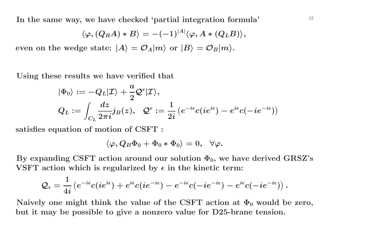<sup>12</sup> **In the same way, we have checked 'partial integration formula'**

$$
\langle \varphi, (Q_R A) * B \rangle = -(-1)^{|A|} \langle \varphi, A * (Q_L B) \rangle,
$$

even on the wedge state:  $|A\rangle=\mathcal{O}_A|m\rangle$  or  $|B\rangle=\mathcal{O}_B|m\rangle.$ 

**Using these results we have verified that**

$$
\begin{aligned} &|\Phi_0\rangle:=-Q_L|\mathcal{I}\rangle+\frac{a}{2}\mathcal{Q}^\epsilon|\mathcal{I}\rangle,\\ &Q_L:=\int_{C_L}\frac{dz}{2\pi i}j_B(z),\;\;\mathcal{Q}^\epsilon:=\frac{1}{2i}\left(e^{-i\epsilon}c(ie^{i\epsilon})-e^{i\epsilon}c(-ie^{-i\epsilon})\right) \end{aligned}
$$

**satisfies equation of motion of CSFT :**

$$
\langle \varphi, Q_B \Phi_0 + \Phi_0 * \Phi_0 \rangle = 0, \;\; \forall \varphi.
$$

By expanding CSFT action around our solution  $\Phi_0$ , we have derived GRSZ's **VSFT** action which is regularized by  $\epsilon$  in the kinetic term:

$$
\mathcal{Q}_\epsilon=\frac{1}{4i}\left(e^{-i\epsilon}c(ie^{i\epsilon})+e^{i\epsilon}c(ie^{-i\epsilon})-e^{-i\epsilon}c(-ie^{-i\epsilon})-e^{i\epsilon}c(-ie^{-i\epsilon})\right).
$$

Naively one might think the value of the CSFT action at  $\Phi_0$  would be zero, but it may be possible to give a nonzero value for D25-brane tension.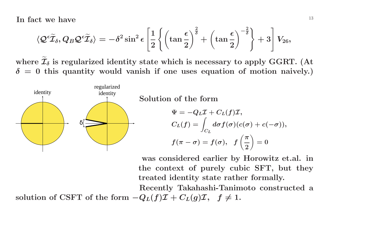In fact we have  $\frac{13}{2}$ 

$$
\langle \mathcal{Q}^\epsilon \widetilde{\mathcal{I}}_\delta, Q_B \mathcal{Q}^\epsilon \widetilde{\mathcal{I}}_\delta \rangle = - \delta^2 \sin^2 \epsilon \left[ \frac{1}{2} \left\lbrace \left( \tan \frac{\epsilon}{2} \right)^{\frac{2}{\delta}} + \left( \tan \frac{\epsilon}{2} \right)^{-\frac{2}{\delta}} \right\rbrace + 3 \right] V_{26},
$$

where  $\widetilde{\mathcal{I}}$  $\delta_\delta$  is regularized identity state which is necessary to apply GGRT. (At  $\delta = 0$  this quantity would vanish if one uses equation of motion naively.)



identity **Solution of the form**

$$
\Psi = -Q_L \mathcal{I} + C_L(f) \mathcal{I},
$$
  
\n
$$
C_L(f) = \int_{C_L} d\sigma f(\sigma)(c(\sigma) + c(-\sigma)),
$$
  
\n
$$
f(\pi - \sigma) = f(\sigma), \quad f\left(\frac{\pi}{2}\right) = 0
$$

**was considered earlier by Horowitz et.al. in the context of purely cubic SFT, but they treated identity state rather formally.**

**Recently Takahashi-Tanimoto constructed <sup>a</sup>** solution of CSFT of the form  $-Q_L(f)\mathcal{I} + C_L(g)\mathcal{I}, f \neq 1$ .